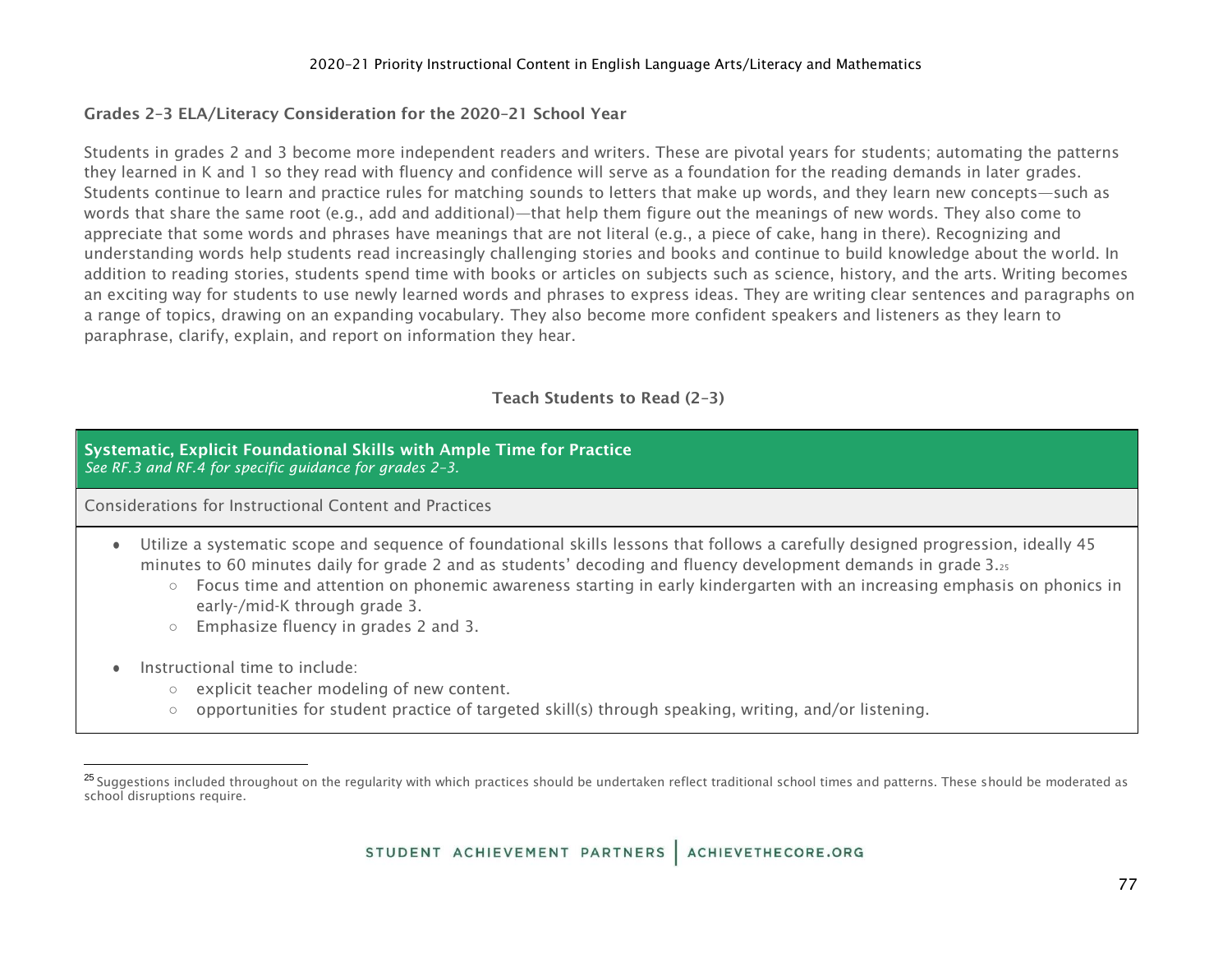## 2020–21 Priority Instructional Content in English Language Arts/Literacy and Mathematics

# Grades 2–3 ELA/Literacy Consideration for the 2020–21 School Year

Students in grades 2 and 3 become more independent readers and writers. These are pivotal years for students; automating the patterns they learned in K and 1 so they read with fluency and confidence will serve as a foundation for the reading demands in later grades. Students continue to learn and practice rules for matching sounds to letters that make up words, and they learn new concepts—such as words that share the same root (e.g., add and additional)—that help them figure out the meanings of new words. They also come to appreciate that some words and phrases have meanings that are not literal (e.g., a piece of cake, hang in there). Recognizing and understanding words help students read increasingly challenging stories and books and continue to build knowledge about the world. In addition to reading stories, students spend time with books or articles on subjects such as science, history, and the arts. Writing becomes an exciting way for students to use newly learned words and phrases to express ideas. They are writing clear sentences and paragraphs on a range of topics, drawing on an expanding vocabulary. They also become more confident speakers and listeners as they learn to paraphrase, clarify, explain, and report on information they hear.

# Teach Students to Read (2–3)

## Systematic, Explicit Foundational Skills with Ample Time for Practice *See RF.3 and RF.4 for specific guidance for grades 2–3.*

- Utilize a systematic scope and sequence of foundational skills lessons that follows a carefully designed progression, ideally 45 minutes to 60 minutes daily for grade 2 and as students' decoding and fluency development demands in grade 3.<sup>25</sup>
	- $\circ$  Focus time and attention on phonemic awareness starting in early kindergarten with an increasing emphasis on phonics in early-/mid-K through grade 3.
	- Emphasize fluency in grades 2 and 3.
- Instructional time to include:
	- explicit teacher modeling of new content.
	- opportunities for student practice of targeted skill(s) through speaking, writing, and/or listening.

<sup>&</sup>lt;sup>25</sup> Suggestions included throughout on the regularity with which practices should be undertaken reflect traditional school times and patterns. These should be moderated as school disruptions require.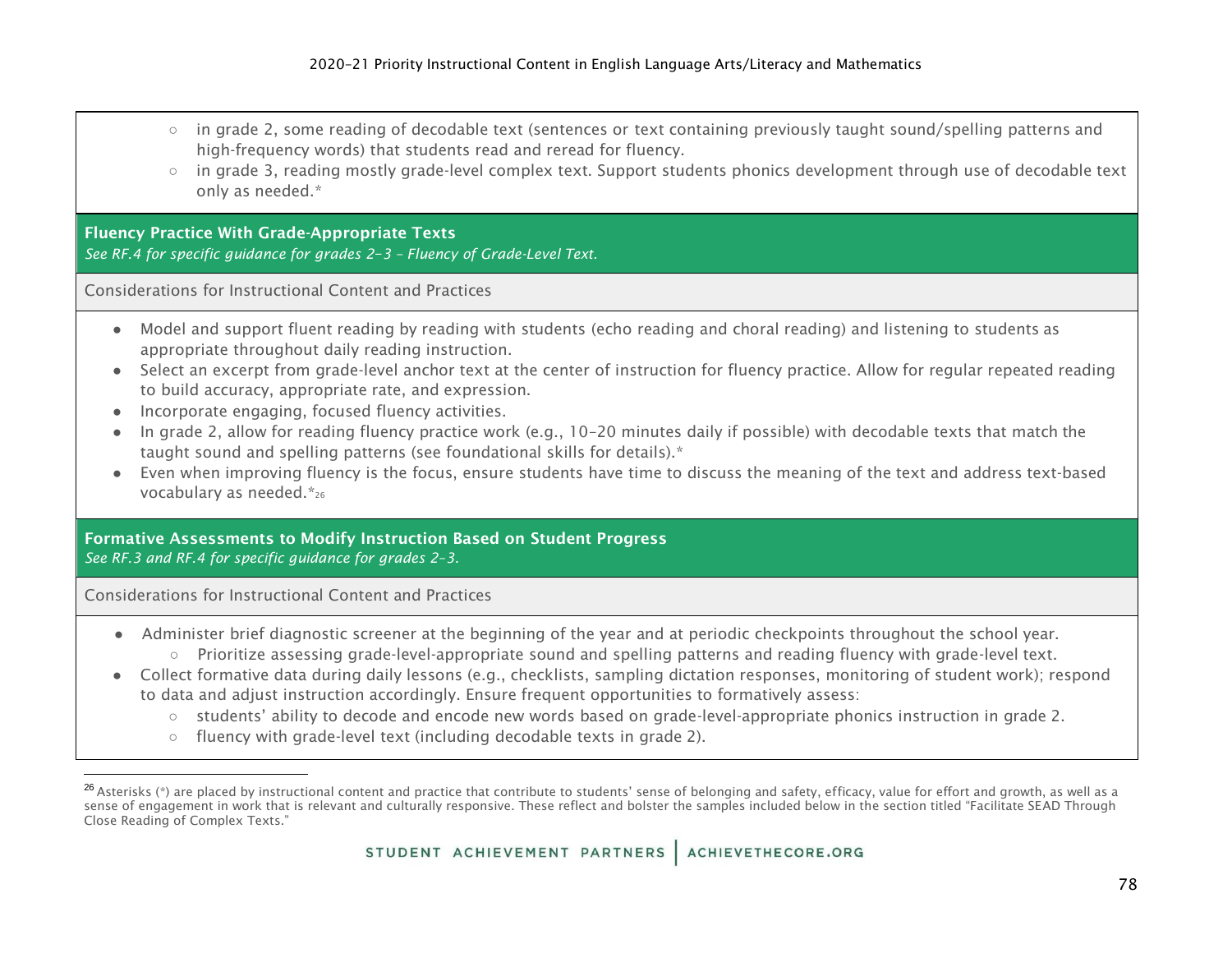- in grade 2, some reading of decodable text (sentences or text containing previously taught sound/spelling patterns and high-frequency words) that students read and reread for fluency.
- in grade 3, reading mostly grade-level complex text. Support students phonics development through use of decodable text only as needed.\*

## Fluency Practice With Grade-Appropriate Texts

*See RF.4 for specific guidance for grades 2*–*3 – Fluency of Grade-Level Text.*

Considerations for Instructional Content and Practices

- Model and support fluent reading by reading with students (echo reading and choral reading) and listening to students as appropriate throughout daily reading instruction.
- Select an excerpt from grade-level anchor text at the center of instruction for fluency practice. Allow for regular repeated reading to build accuracy, appropriate rate, and expression.
- Incorporate engaging, focused fluency activities.
- In grade 2, allow for reading fluency practice work (e.g., 10–20 minutes daily if possible) with decodable texts that match the taught sound and spelling patterns (see foundational skills for details).\*
- Even when improving fluency is the focus, ensure students have time to discuss the meaning of the text and address text-based vocabulary as needed.\*<sup>26</sup>

## Formative Assessments to Modify Instruction Based on Student Progress *See RF.3 and RF.4 for specific guidance for grades 2*–*3.*

- Administer brief diagnostic screener at the beginning of the year and at periodic checkpoints throughout the school year.
	- Prioritize assessing grade-level-appropriate sound and spelling patterns and reading fluency with grade-level text.
- Collect formative data during daily lessons (e.g., checklists, sampling dictation responses, monitoring of student work); respond to data and adjust instruction accordingly. Ensure frequent opportunities to formatively assess:
	- students' ability to decode and encode new words based on grade-level-appropriate phonics instruction in grade 2.
	- fluency with grade-level text (including decodable texts in grade 2).

 $^{26}$  Asterisks (\*) are placed by instructional content and practice that contribute to students' sense of belonging and safety, efficacy, value for effort and growth, as well as a sense of engagement in work that is relevant and culturally responsive. These reflect and bolster the samples included below in the section titled "Facilitate SEAD Through Close Reading of Complex Texts."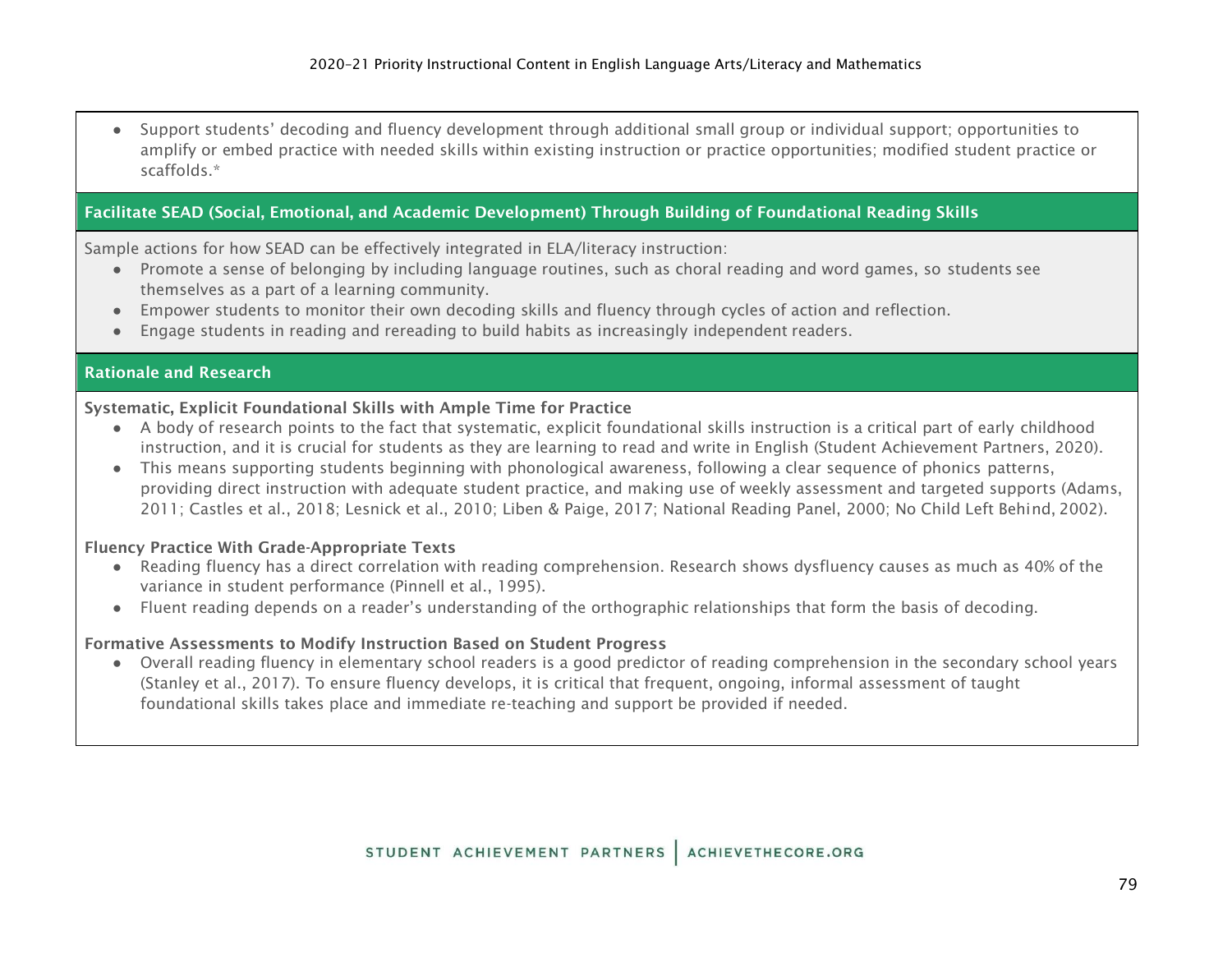● Support students' decoding and fluency development through additional small group or individual support; opportunities to amplify or embed practice with needed skills within existing instruction or practice opportunities; modified student practice or scaffolds.\*

# Facilitate SEAD (Social, Emotional, and Academic Development) Through Building of Foundational Reading Skills

Sample actions for how SEAD can be effectively integrated in ELA/literacy instruction:

- Promote a sense of belonging by including language routines, such as choral reading and word games, so students see themselves as a part of a learning community.
- Empower students to monitor their own decoding skills and fluency through cycles of action and reflection.
- Engage students in reading and rereading to build habits as increasingly independent readers.

## Rationale and Research

## Systematic, Explicit Foundational Skills with Ample Time for Practice

- A body of research points to the fact that systematic, explicit foundational skills instruction is a critical part of early childhood instruction, and it is crucial for students as they are learning to read and write in English (Student Achievement Partners, 2020).
- This means supporting students beginning with phonological awareness, following a clear sequence of phonics patterns, providing direct instruction with adequate student practice, and making use of weekly assessment and targeted supports (Adams, 2011; Castles et al., 2018; Lesnick et al., 2010; Liben & Paige, 2017; National Reading Panel, 2000; No Child Left Behind, 2002).

## Fluency Practice With Grade-Appropriate Texts

- Reading fluency has a direct correlation with reading comprehension. Research shows dysfluency causes as much as 40% of the variance in student performance (Pinnell et al., 1995).
- Fluent reading depends on a reader's understanding of the orthographic relationships that form the basis of decoding.

## Formative Assessments to Modify Instruction Based on Student Progress

● Overall reading fluency in elementary school readers is a good predictor of reading comprehension in the secondary school years (Stanley et al., 2017). To ensure fluency develops, it is critical that frequent, ongoing, informal assessment of taught foundational skills takes place and immediate re-teaching and support be provided if needed.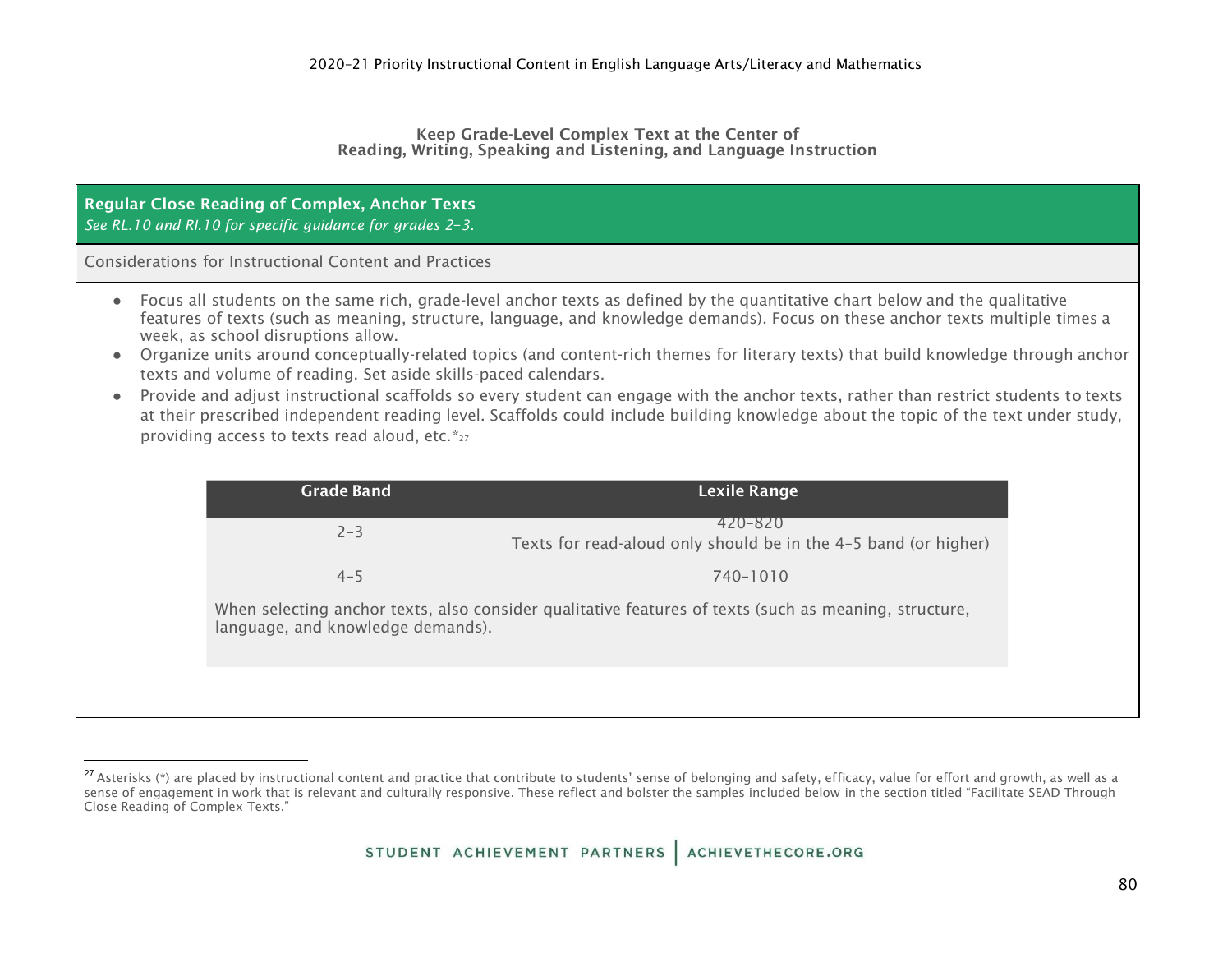#### Keep Grade-Level Complex Text at the Center of Reading, Writing, Speaking and Listening, and Language Instruction

## Regular Close Reading of Complex, Anchor Texts *See RL.10 and RI.10 for specific guidance for grades 2*–*3.*

- Focus all students on the same rich, grade-level anchor texts as defined by the quantitative chart below and the qualitative features of texts (such as meaning, structure, language, and knowledge demands). Focus on these anchor texts multiple times a week, as school disruptions allow.
- Organize units around conceptually-related topics (and content-rich themes for literary texts) that build knowledge through anchor texts and volume of reading. Set aside skills-paced calendars.
- Provide and adjust instructional scaffolds so every student can engage with the anchor texts, rather than restrict students to texts at their prescribed independent reading level. Scaffolds could include building knowledge about the topic of the text under study, providing access to texts read aloud, etc.\*27

| <b>Grade Band</b>                                                                                                                          | Lexile Range                                                               |
|--------------------------------------------------------------------------------------------------------------------------------------------|----------------------------------------------------------------------------|
| $2 - 3$                                                                                                                                    | 420-820<br>Texts for read-aloud only should be in the 4-5 band (or higher) |
| $4 - 5$                                                                                                                                    | 740-1010                                                                   |
| When selecting anchor texts, also consider qualitative features of texts (such as meaning, structure,<br>language, and knowledge demands). |                                                                            |
|                                                                                                                                            |                                                                            |

<sup>&</sup>lt;sup>27</sup> Asterisks (\*) are placed by instructional content and practice that contribute to students' sense of belonging and safety, efficacy, value for effort and growth, as well as a sense of engagement in work that is relevant and culturally responsive. These reflect and bolster the samples included below in the section titled "Facilitate SEAD Through Close Reading of Complex Texts."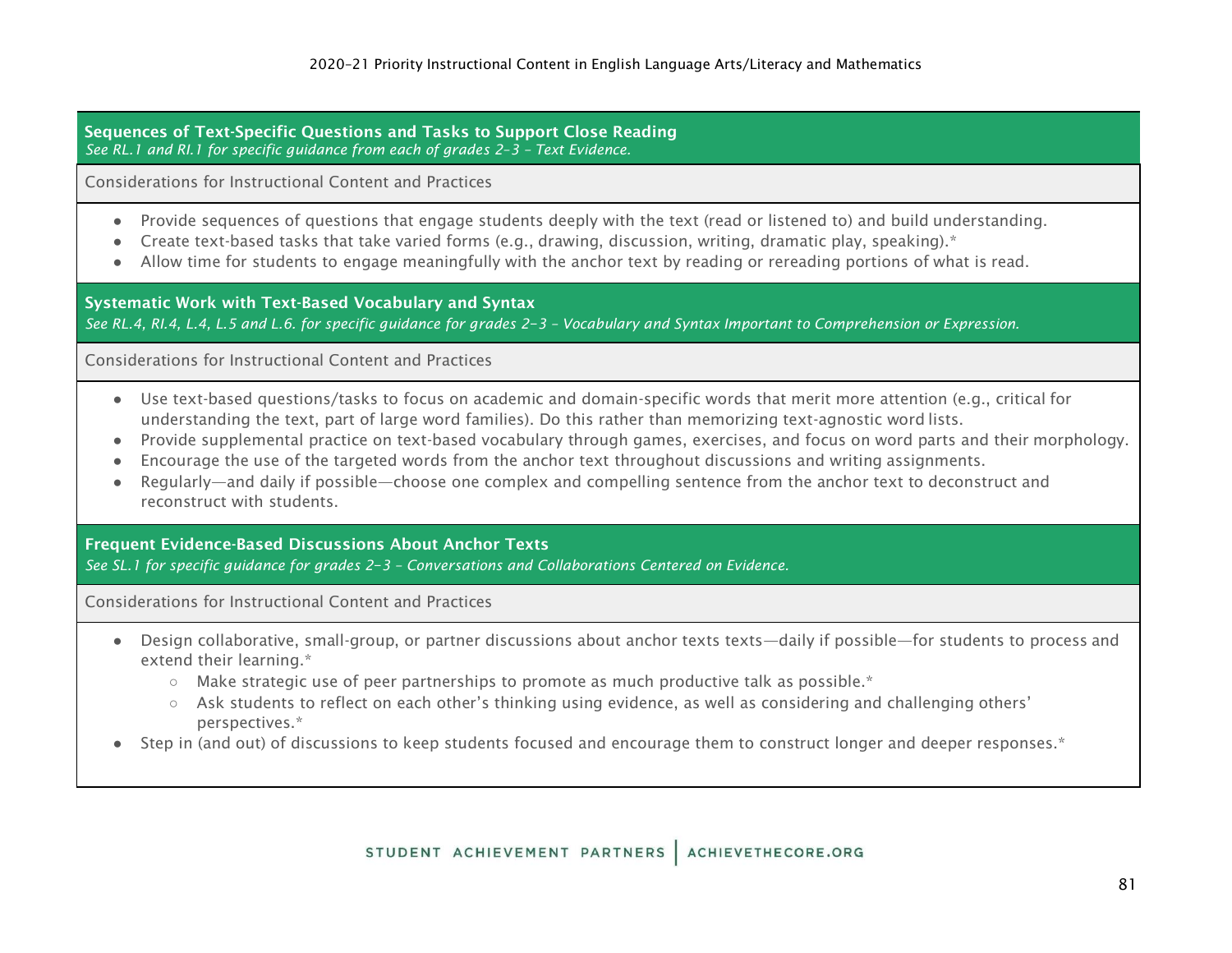Sequences of Text-Specific Questions and Tasks to Support Close Reading *See RL.1 and RI.1 for specific guidance from each of grades 2*–*3 – Text Evidence.*

Considerations for Instructional Content and Practices

- Provide sequences of questions that engage students deeply with the text (read or listened to) and build understanding.
- Create text-based tasks that take varied forms (e.g., drawing, discussion, writing, dramatic play, speaking).\*
- Allow time for students to engage meaningfully with the anchor text by reading or rereading portions of what is read.

Systematic Work with Text-Based Vocabulary and Syntax

*See RL.4, RI.4, L.4, L.5 and L.6. for specific guidance for grades 2*–*3 – Vocabulary and Syntax Important to Comprehension or Expression.*

Considerations for Instructional Content and Practices

- Use text-based questions/tasks to focus on academic and domain-specific words that merit more attention (e.g., critical for understanding the text, part of large word families). Do this rather than memorizing text-agnostic word lists.
- Provide supplemental practice on text-based vocabulary through games, exercises, and focus on word parts and their morphology.
- Encourage the use of the targeted words from the anchor text throughout discussions and writing assignments.
- Regularly—and daily if possible—choose one complex and compelling sentence from the anchor text to deconstruct and reconstruct with students.

Frequent Evidence-Based Discussions About Anchor Texts

*See SL.1 for specific guidance for grades 2*–*3 – Conversations and Collaborations Centered on Evidence.*

- Design collaborative, small-group, or partner discussions about anchor texts texts—daily if possible—for students to process and extend their learning.\*
	- $\circ$  Make strategic use of peer partnerships to promote as much productive talk as possible.\*
	- Ask students to reflect on each other's thinking using evidence, as well as considering and challenging others' perspectives.\*
- Step in (and out) of discussions to keep students focused and encourage them to construct longer and deeper responses.\*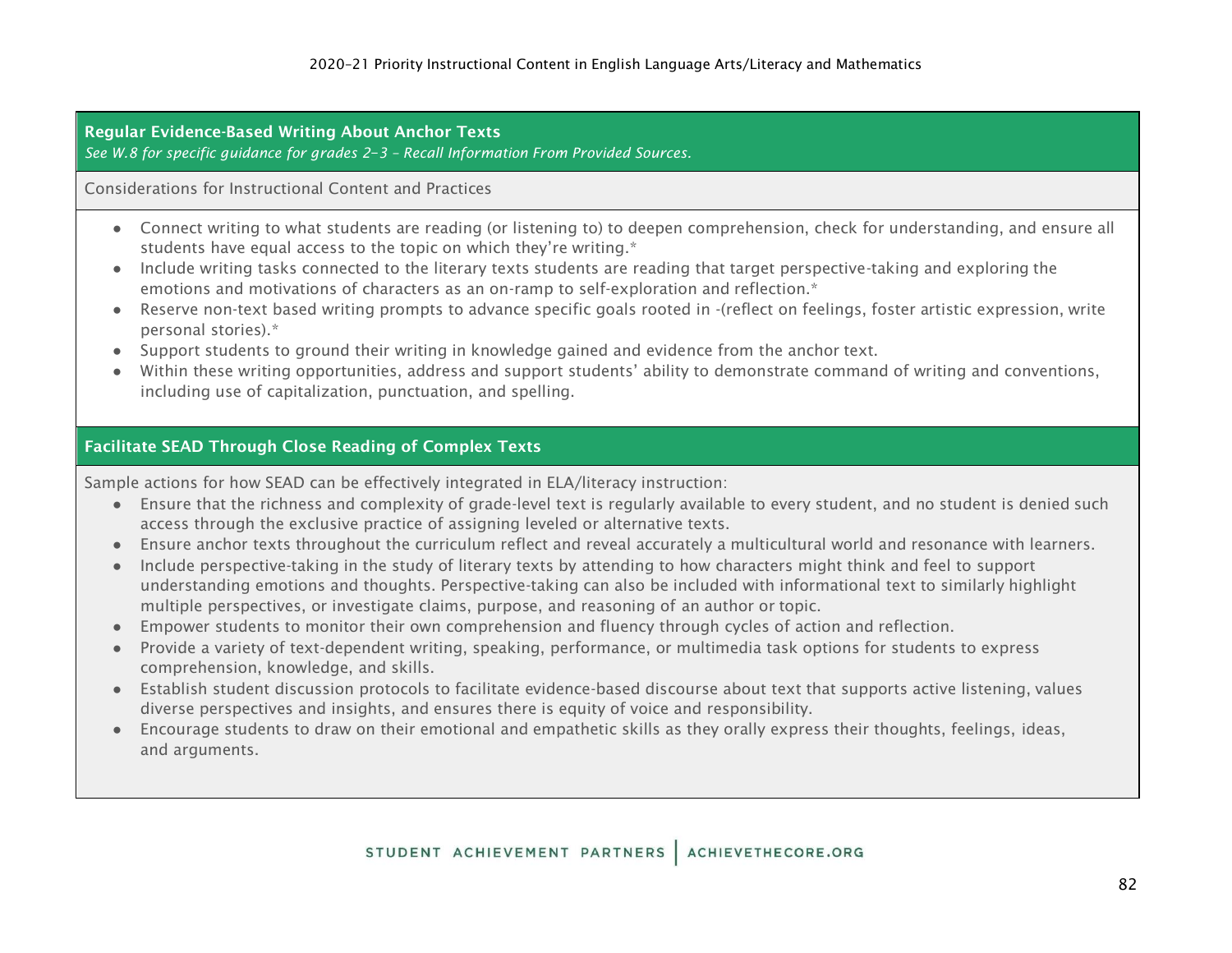Regular Evidence-Based Writing About Anchor Texts

*See W.8 for specific guidance for grades 2*–*3 – Recall Information From Provided Sources.*

Considerations for Instructional Content and Practices

- Connect writing to what students are reading (or listening to) to deepen comprehension, check for understanding, and ensure all students have equal access to the topic on which they're writing.\*
- Include writing tasks connected to the literary texts students are reading that target perspective-taking and exploring the emotions and motivations of characters as an on-ramp to self-exploration and reflection.\*
- Reserve non-text based writing prompts to advance specific goals rooted in -(reflect on feelings, foster artistic expression, write personal stories).\*
- Support students to ground their writing in knowledge gained and evidence from the anchor text.
- Within these writing opportunities, address and support students' ability to demonstrate command of writing and conventions, including use of capitalization, punctuation, and spelling.

# Facilitate SEAD Through Close Reading of Complex Texts

Sample actions for how SEAD can be effectively integrated in ELA/literacy instruction:

- Ensure that the richness and complexity of grade-level text is regularly available to every student, and no student is denied such access through the exclusive practice of assigning leveled or alternative texts.
- Ensure anchor texts throughout the curriculum reflect and reveal accurately a multicultural world and resonance with learners.
- Include perspective-taking in the study of literary texts by attending to how characters might think and feel to support understanding emotions and thoughts. Perspective-taking can also be included with informational text to similarly highlight multiple perspectives, or investigate claims, purpose, and reasoning of an author or topic.
- Empower students to monitor their own comprehension and fluency through cycles of action and reflection.
- Provide a variety of text-dependent writing, speaking, performance, or multimedia task options for students to express comprehension, knowledge, and skills.
- Establish student discussion protocols to facilitate evidence-based discourse about text that supports active listening, values diverse perspectives and insights, and ensures there is equity of voice and responsibility.
- Encourage students to draw on their emotional and empathetic skills as they orally express their thoughts, feelings, ideas, and arguments.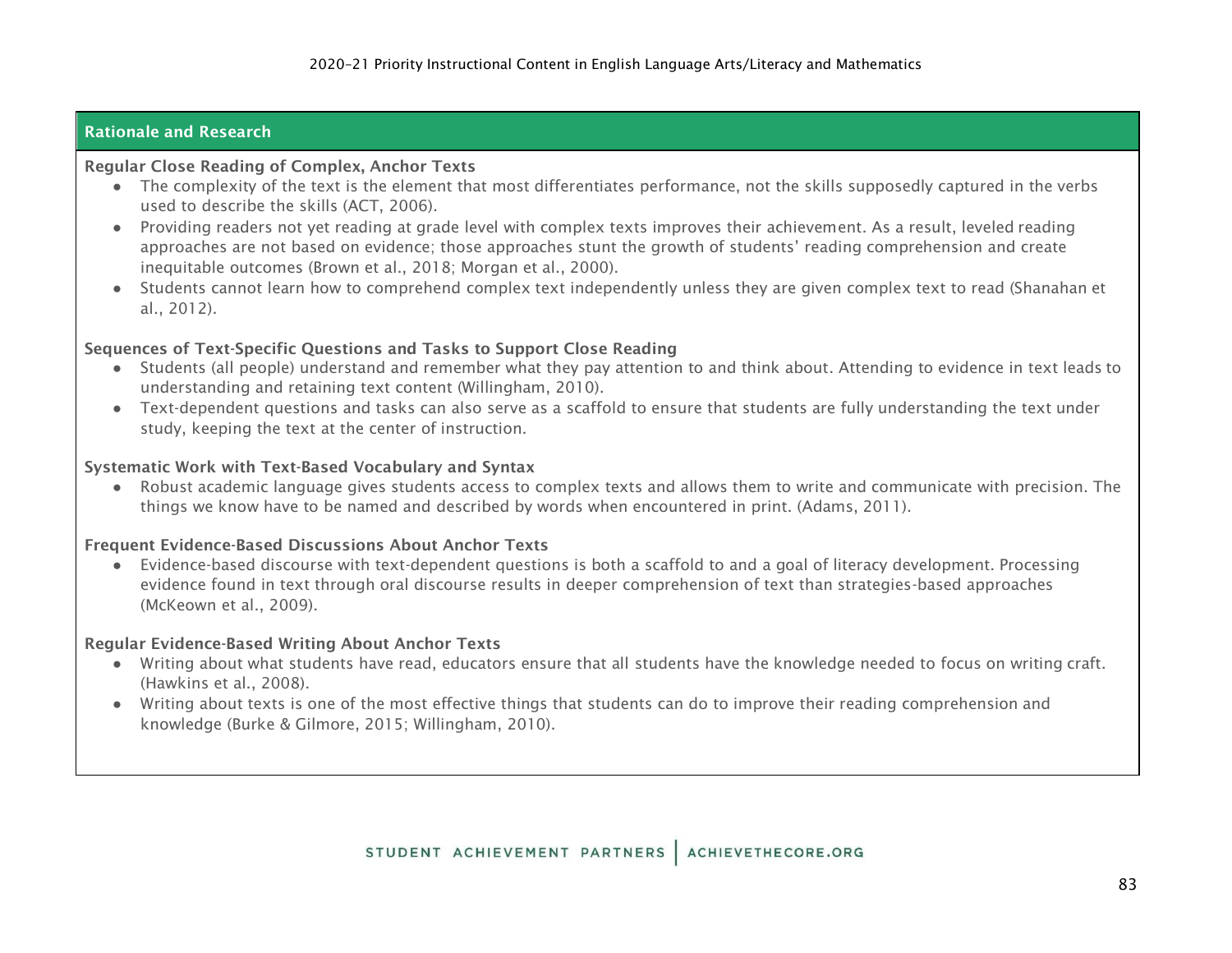# Rationale and Research

#### Regular Close Reading of Complex, Anchor Texts

- The complexity of the text is the element that most differentiates performance, not the skills supposedly captured in the verbs used to describe the skills (ACT, 2006).
- Providing readers not yet reading at grade level with complex texts improves their achievement. As a result, leveled reading approaches are not based on evidence; those approaches stunt the growth of students' reading comprehension and create inequitable outcomes (Brown et al., 2018; Morgan et al., 2000).
- Students cannot learn how to comprehend complex text independently unless they are given complex text to read (Shanahan et al., 2012).

# Sequences of Text-Specific Questions and Tasks to Support Close Reading

- Students (all people) understand and remember what they pay attention to and think about. Attending to evidence in text leads to understanding and retaining text content (Willingham, 2010).
- Text-dependent questions and tasks can also serve as a scaffold to ensure that students are fully understanding the text under study, keeping the text at the center of instruction.

## Systematic Work with Text-Based Vocabulary and Syntax

● Robust academic language gives students access to complex texts and allows them to write and communicate with precision. The things we know have to be named and described by words when encountered in print. (Adams, 2011).

## Frequent Evidence-Based Discussions About Anchor Texts

● Evidence-based discourse with text-dependent questions is both a scaffold to and a goal of literacy development. Processing evidence found in text through oral discourse results in deeper comprehension of text than strategies-based approaches (McKeown et al., 2009).

## Regular Evidence-Based Writing About Anchor Texts

- Writing about what students have read, educators ensure that all students have the knowledge needed to focus on writing craft. (Hawkins et al., 2008).
- Writing about texts is one of the most effective things that students can do to improve their reading comprehension and knowledge (Burke & Gilmore, 2015; Willingham, 2010).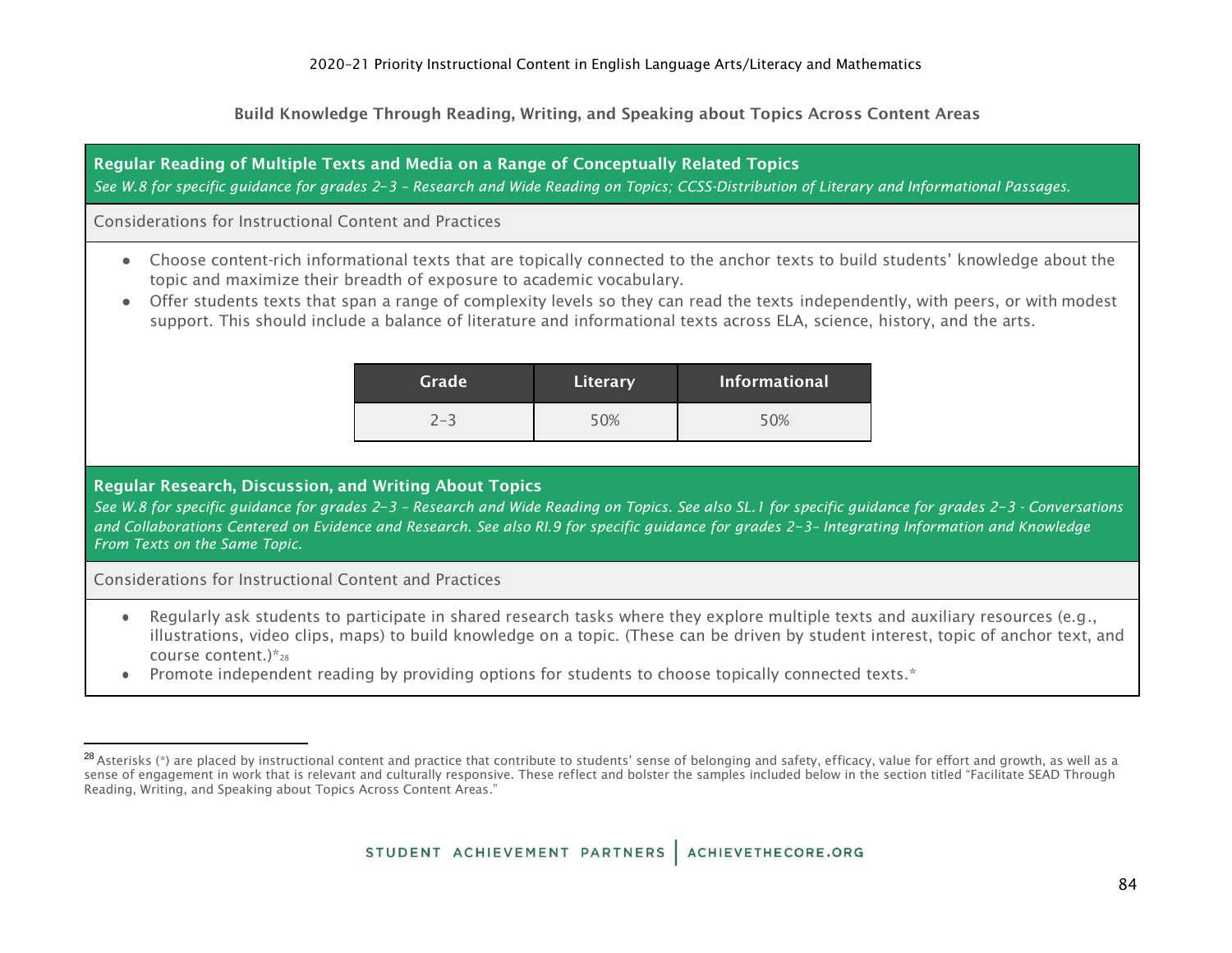Build Knowledge Through Reading, Writing, and Speaking about Topics Across Content Areas

# Regular Reading of Multiple Texts and Media on a Range of Conceptually Related Topics *See W.8 for specific guidance for grades 2*–*3 – Research and Wide Reading on Topics; CCSS-Distribution of Literary and Informational Passages.* Considerations for Instructional Content and Practices ● Choose content-rich informational texts that are topically connected to the anchor texts to build students' knowledge about the topic and maximize their breadth of exposure to academic vocabulary. ● Offer students texts that span a range of complexity levels so they can read the texts independently, with peers, or with modest support. This should include a balance of literature and informational texts across ELA, science, history, and the arts. Grade **Literary** Informational 2–3 50% 50% Regular Research, Discussion, and Writing About Topics *See W.8 for specific guidance for grades 2*–*3 – Research and Wide Reading on Topics. See also SL.1 for specific guidance for grades 2*–*3 - Conversations and Collaborations Centered on Evidence and Research. See also RI.9 for specific guidance for grades 2*–*3– Integrating Information and Knowledge From Texts on the Same Topic.* Considerations for Instructional Content and Practices ● Regularly ask students to participate in shared research tasks where they explore multiple texts and auxiliary resources (e.g., illustrations, video clips, maps) to build knowledge on a topic. (These can be driven by student interest, topic of anchor text, and course content.) $*_{28}$ • Promote independent reading by providing options for students to choose topically connected texts.\*

 $^{28}$  Asterisks (\*) are placed by instructional content and practice that contribute to students' sense of belonging and safety, efficacy, value for effort and growth, as well as a sense of engagement in work that is relevant and culturally responsive. These reflect and bolster the samples included below in the section titled "Facilitate SEAD Through Reading, Writing, and Speaking about Topics Across Content Areas*.*"